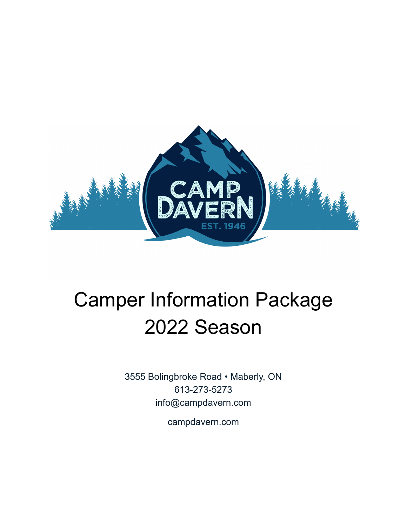

# Camper Information Package 2022 Season

3555 Bolingbroke Road • Maberly, ON 613-273-5273 info@campdavern.com

campdavern.com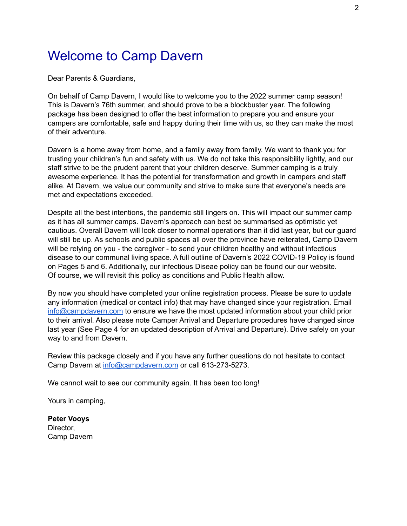### Welcome to Camp Davern

Dear Parents & Guardians,

On behalf of Camp Davern, I would like to welcome you to the 2022 summer camp season! This is Davern's 76th summer, and should prove to be a blockbuster year. The following package has been designed to offer the best information to prepare you and ensure your campers are comfortable, safe and happy during their time with us, so they can make the most of their adventure.

Davern is a home away from home, and a family away from family. We want to thank you for trusting your children's fun and safety with us. We do not take this responsibility lightly, and our staff strive to be the prudent parent that your children deserve. Summer camping is a truly awesome experience. It has the potential for transformation and growth in campers and staff alike. At Davern, we value our community and strive to make sure that everyone's needs are met and expectations exceeded.

Despite all the best intentions, the pandemic still lingers on. This will impact our summer camp as it has all summer camps. Davern's approach can best be summarised as optimistic yet cautious. Overall Davern will look closer to normal operations than it did last year, but our guard will still be up. As schools and public spaces all over the province have reiterated, Camp Davern will be relying on you - the caregiver - to send your children healthy and without infectious disease to our communal living space. A full outline of Davern's 2022 COVID-19 Policy is found on Pages 5 and 6. Additionally, our infectious Diseae policy can be found our our website. Of course, we will revisit this policy as conditions and Public Health allow.

By now you should have completed your online registration process. Please be sure to update any information (medical or contact info) that may have changed since your registration. Email [info@campdavern.com](mailto:info@campdaver.com) to ensure we have the most updated information about your child prior to their arrival. Also please note Camper Arrival and Departure procedures have changed since last year (See Page 4 for an updated description of Arrival and Departure). Drive safely on your way to and from Davern.

Review this package closely and if you have any further questions do not hesitate to contact Camp Davern at [info@campdavern.com](mailto:info@campdavern.com) or call 613-273-5273.

We cannot wait to see our community again. It has been too long!

Yours in camping,

**Peter Vooys** Director, Camp Davern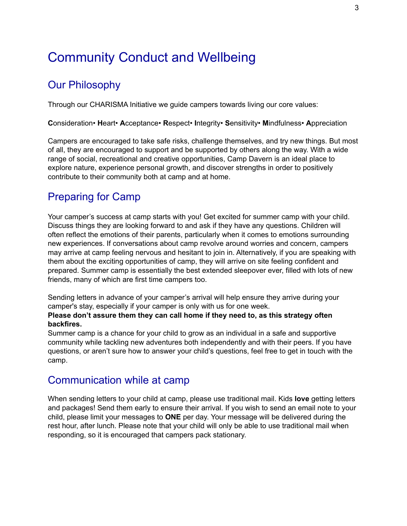### Community Conduct and Wellbeing

#### Our Philosophy

Through our CHARISMA Initiative we guide campers towards living our core values:

**C**onsideration• **H**eart• **A**cceptance• **R**espect• **I**ntegrity• **S**ensitivity• **M**indfulness• **A**ppreciation

Campers are encouraged to take safe risks, challenge themselves, and try new things. But most of all, they are encouraged to support and be supported by others along the way. With a wide range of social, recreational and creative opportunities, Camp Davern is an ideal place to explore nature, experience personal growth, and discover strengths in order to positively contribute to their community both at camp and at home.

#### Preparing for Camp

Your camper's success at camp starts with you! Get excited for summer camp with your child. Discuss things they are looking forward to and ask if they have any questions. Children will often reflect the emotions of their parents, particularly when it comes to emotions surrounding new experiences. If conversations about camp revolve around worries and concern, campers may arrive at camp feeling nervous and hesitant to join in. Alternatively, if you are speaking with them about the exciting opportunities of camp, they will arrive on site feeling confident and prepared. Summer camp is essentially the best extended sleepover ever, filled with lots of new friends, many of which are first time campers too.

Sending letters in advance of your camper's arrival will help ensure they arrive during your camper's stay, especially if your camper is only with us for one week.

#### **Please don't assure them they can call home if they need to, as this strategy often backfires.**

Summer camp is a chance for your child to grow as an individual in a safe and supportive community while tackling new adventures both independently and with their peers. If you have questions, or aren't sure how to answer your child's questions, feel free to get in touch with the camp.

#### Communication while at camp

When sending letters to your child at camp, please use traditional mail. Kids **love** getting letters and packages! Send them early to ensure their arrival. If you wish to send an email note to your child, please limit your messages to **ONE** per day. Your message will be delivered during the rest hour, after lunch. Please note that your child will only be able to use traditional mail when responding, so it is encouraged that campers pack stationary.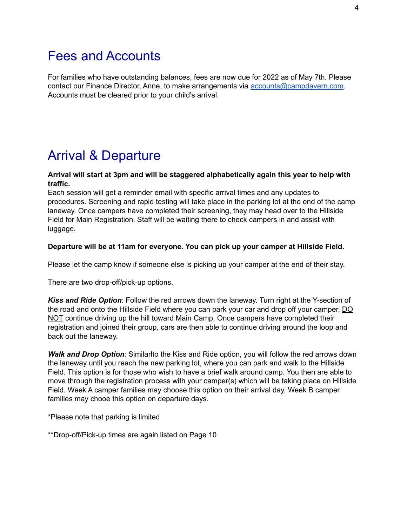### Fees and Accounts

For families who have outstanding balances, fees are now due for 2022 as of May 7th. Please contact our Finance Director, Anne, to make arrangements via [accounts@campdavern.com.](mailto:accounts@campdavern.com) Accounts must be cleared prior to your child's arrival.

### Arrival & Departure

#### **Arrival will start at 3pm and will be staggered alphabetically again this year to help with traffic.**

Each session will get a reminder email with specific arrival times and any updates to procedures. Screening and rapid testing will take place in the parking lot at the end of the camp laneway. Once campers have completed their screening, they may head over to the Hillside Field for Main Registration. Staff will be waiting there to check campers in and assist with luggage.

#### **Departure will be at 11am for everyone. You can pick up your camper at Hillside Field.**

Please let the camp know if someone else is picking up your camper at the end of their stay.

There are two drop-off/pick-up options.

*Kiss and Ride Option*: Follow the red arrows down the laneway. Turn right at the Y-section of the road and onto the Hillside Field where you can park your car and drop off your camper. DO NOT continue driving up the hill toward Main Camp. Once campers have completed their registration and joined their group, cars are then able to continue driving around the loop and back out the laneway.

*Walk and Drop Option*: Similarlto the Kiss and Ride option, you will follow the red arrows down the laneway until you reach the new parking lot, where you can park and walk to the Hillside Field. This option is for those who wish to have a brief walk around camp. You then are able to move through the registration process with your camper(s) which will be taking place on Hillside Field. Week A camper families may choose this option on their arrival day, Week B camper families may chooe this option on departure days.

\*Please note that parking is limited

\*\*Drop-off/Pick-up times are again listed on Page 10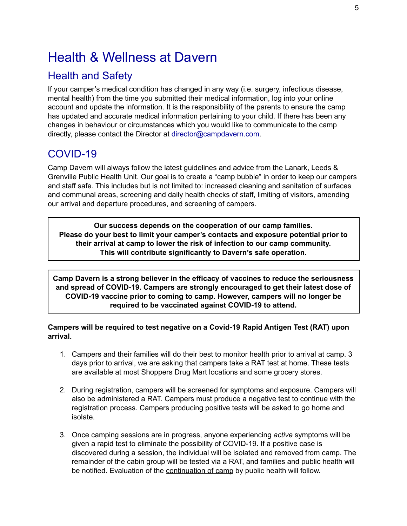### Health & Wellness at Davern

#### Health and Safety

If your camper's medical condition has changed in any way (i.e. surgery, infectious disease, mental health) from the time you submitted their medical information, log into your online account and update the information. It is the responsibility of the parents to ensure the camp has updated and accurate medical information pertaining to your child. If there has been any changes in behaviour or circumstances which you would like to communicate to the camp directly, please contact the Director at director@campdavern.com.

### COVID-19

Camp Davern will always follow the latest guidelines and advice from the Lanark, Leeds & Grenville Public Health Unit. Our goal is to create a "camp bubble" in order to keep our campers and staff safe. This includes but is not limited to: increased cleaning and sanitation of surfaces and communal areas, screening and daily health checks of staff, limiting of visitors, amending our arrival and departure procedures, and screening of campers.

**Our success depends on the cooperation of our camp families. Please do your best to limit your camper's contacts and exposure potential prior to their arrival at camp to lower the risk of infection to our camp community. This will contribute significantly to Davern's safe operation.**

**Camp Davern is a strong believer in the efficacy of vaccines to reduce the seriousness and spread of COVID-19. Campers are strongly encouraged to get their latest dose of COVID-19 vaccine prior to coming to camp. However, campers will no longer be required to be vaccinated against COVID-19 to attend.**

**Campers will be required to test negative on a Covid-19 Rapid Antigen Test (RAT) upon arrival.**

- 1. Campers and their families will do their best to monitor health prior to arrival at camp. 3 days prior to arrival, we are asking that campers take a RAT test at home. These tests are available at most Shoppers Drug Mart locations and some grocery stores.
- 2. During registration, campers will be screened for symptoms and exposure. Campers will also be administered a RAT. Campers must produce a negative test to continue with the registration process. Campers producing positive tests will be asked to go home and isolate.
- 3. Once camping sessions are in progress, anyone experiencing *active* symptoms will be given a rapid test to eliminate the possibility of COVID-19. If a positive case is discovered during a session, the individual will be isolated and removed from camp. The remainder of the cabin group will be tested via a RAT, and families and public health will be notified. Evaluation of the continuation of camp by public health will follow.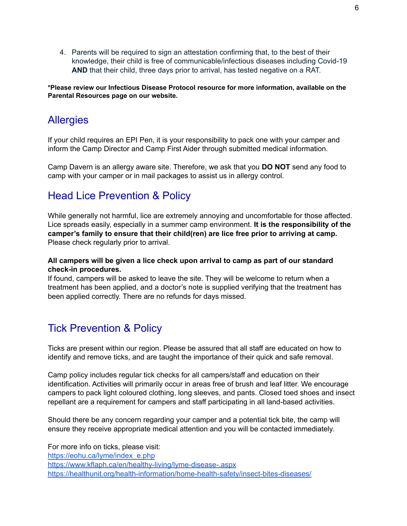4. Parents will be required to sign an attestation confirming that, to the best of their knowledge, their child is free of communicable/infectious diseases including Covid-19 **AND** that their child, three days prior to arrival, has tested negative on a RAT.

#### **\*Please review our Infectious Disease Protocol resource for more information, available on the Parental Resources page on our website.**

### **Allergies**

If your child requires an EPI Pen, it is your responsibility to pack one with your camper and inform the Camp Director and Camp First Aider through submitted medical information.

Camp Davern is an allergy aware site. Therefore, we ask that you **DO NOT** send any food to camp with your camper or in mail packages to assist us in allergy control.

### Head Lice Prevention & Policy

While generally not harmful, lice are extremely annoying and uncomfortable for those affected. Lice spreads easily, especially in a summer camp environment. **It is the responsibility of the camper's family to ensure that their child(ren) are lice free prior to arriving at camp.** Please check regularly prior to arrival.

#### **All campers will be given a lice check upon arrival to camp as part of our standard check-in procedures.**

If found, campers will be asked to leave the site. They will be welcome to return when a treatment has been applied, and a doctor's note is supplied verifying that the treatment has been applied correctly. There are no refunds for days missed.

### Tick Prevention & Policy

Ticks are present within our region. Please be assured that all staff are educated on how to identify and remove ticks, and are taught the importance of their quick and safe removal.

Camp policy includes regular tick checks for all campers/staff and education on their identification. Activities will primarily occur in areas free of brush and leaf litter. We encourage campers to pack light coloured clothing, long sleeves, and pants. Closed toed shoes and insect repellant are a requirement for campers and staff participating in all land-based activities.

Should there be any concern regarding your camper and a potential tick bite, the camp will ensure they receive appropriate medical attention and you will be contacted immediately.

For more info on ticks, please visit: [https://eohu.ca/lyme/index\\_e.php](https://eohu.ca/lyme/index_e.php) <https://www.kflaph.ca/en/healthy-living/lyme-disease-.aspx> <https://healthunit.org/health-information/home-health-safety/insect-bites-diseases/>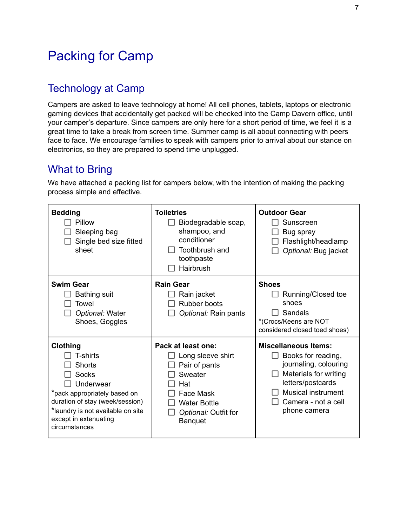### Packing for Camp

#### Technology at Camp

Campers are asked to leave technology at home! All cell phones, tablets, laptops or electronic gaming devices that accidentally get packed will be checked into the Camp Davern office, until your camper's departure. Since campers are only here for a short period of time, we feel it is a great time to take a break from screen time. Summer camp is all about connecting with peers face to face. We encourage families to speak with campers prior to arrival about our stance on electronics, so they are prepared to spend time unplugged.

#### What to Bring

We have attached a packing list for campers below, with the intention of making the packing process simple and effective.

| <b>Bedding</b><br>Pillow<br>Sleeping bag<br>Single bed size fitted<br>sheet                                                                                                                            | <b>Toiletries</b><br>Biodegradable soap,<br>shampoo, and<br>conditioner<br>Toothbrush and<br>toothpaste<br>Hairbrush                              | <b>Outdoor Gear</b><br>Sunscreen<br>Bug spray<br>Flashlight/headlamp<br>Optional: Bug jacket                                                                                                 |
|--------------------------------------------------------------------------------------------------------------------------------------------------------------------------------------------------------|---------------------------------------------------------------------------------------------------------------------------------------------------|----------------------------------------------------------------------------------------------------------------------------------------------------------------------------------------------|
| <b>Swim Gear</b><br><b>Bathing suit</b><br>Towel<br>Optional: Water<br>Shoes, Goggles                                                                                                                  | <b>Rain Gear</b><br>Rain jacket<br>Rubber boots<br>Optional: Rain pants                                                                           | <b>Shoes</b><br>Running/Closed toe<br>shoes<br>Sandals<br>*(Crocs/Keens are NOT<br>considered closed toed shoes)                                                                             |
| Clothing<br>T-shirts<br>Shorts<br>Socks<br>Underwear<br>*pack appropriately based on<br>duration of stay (week/session)<br>*laundry is not available on site<br>except in extenuating<br>circumstances | Pack at least one:<br>Long sleeve shirt<br>Pair of pants<br>Sweater<br>Hat<br>Face Mask<br><b>Water Bottle</b><br>Optional: Outfit for<br>Banquet | <b>Miscellaneous Items:</b><br>Books for reading,<br>journaling, colouring<br>Materials for writing<br>letters/postcards<br><b>Musical instrument</b><br>Camera - not a cell<br>phone camera |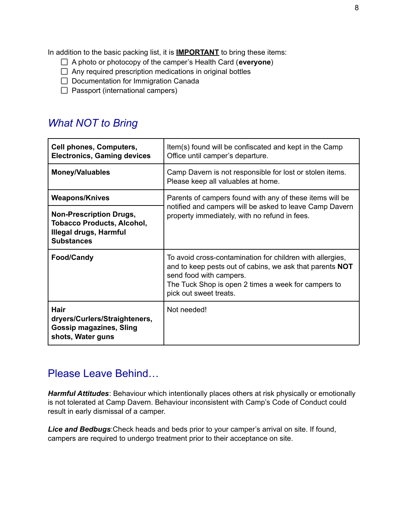In addition to the basic packing list, it is **IMPORTANT** to bring these items:

- A photo or photocopy of the camper's Health Card (**everyone**)
- $\Box$  Any required prescription medications in original bottles
- $\Box$  Documentation for Immigration Canada
- $\Box$  Passport (international campers)

#### *What NOT to Bring*

| <b>Cell phones, Computers,</b><br><b>Electronics, Gaming devices</b>                                               | Item(s) found will be confiscated and kept in the Camp<br>Office until camper's departure.                                                                                                                                               |  |
|--------------------------------------------------------------------------------------------------------------------|------------------------------------------------------------------------------------------------------------------------------------------------------------------------------------------------------------------------------------------|--|
| <b>Money/Valuables</b>                                                                                             | Camp Davern is not responsible for lost or stolen items.<br>Please keep all valuables at home.                                                                                                                                           |  |
| <b>Weapons/Knives</b>                                                                                              | Parents of campers found with any of these items will be<br>notified and campers will be asked to leave Camp Davern<br>property immediately, with no refund in fees.                                                                     |  |
| <b>Non-Prescription Drugs,</b><br><b>Tobacco Products, Alcohol,</b><br>Illegal drugs, Harmful<br><b>Substances</b> |                                                                                                                                                                                                                                          |  |
| <b>Food/Candy</b>                                                                                                  | To avoid cross-contamination for children with allergies,<br>and to keep pests out of cabins, we ask that parents <b>NOT</b><br>send food with campers.<br>The Tuck Shop is open 2 times a week for campers to<br>pick out sweet treats. |  |
| <b>Hair</b><br>dryers/Curlers/Straighteners,<br><b>Gossip magazines, Sling</b><br>shots, Water guns                | Not needed!                                                                                                                                                                                                                              |  |

#### Please Leave Behind…

*Harmful Attitudes*: Behaviour which intentionally places others at risk physically or emotionally is not tolerated at Camp Davern. Behaviour inconsistent with Camp's Code of Conduct could result in early dismissal of a camper.

*Lice and Bedbugs*:Check heads and beds prior to your camper's arrival on site. If found, campers are required to undergo treatment prior to their acceptance on site.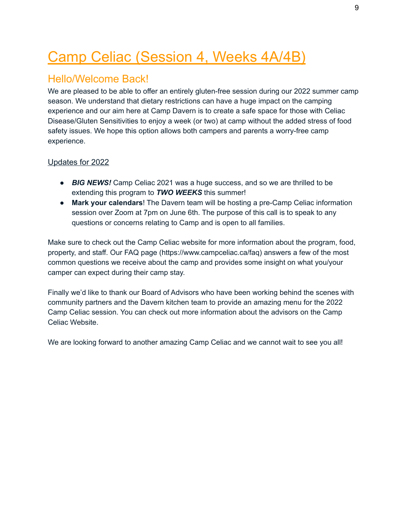## Camp Celiac (Session 4, Weeks 4A/4B)

### Hello/Welcome Back!

We are pleased to be able to offer an entirely gluten-free session during our 2022 summer camp season. We understand that dietary restrictions can have a huge impact on the camping experience and our aim here at Camp Davern is to create a safe space for those with Celiac Disease/Gluten Sensitivities to enjoy a week (or two) at camp without the added stress of food safety issues. We hope this option allows both campers and parents a worry-free camp experience.

#### Updates for 2022

- *BIG NEWS!* Camp Celiac 2021 was a huge success, and so we are thrilled to be extending this program to *TWO WEEKS* this summer!
- **Mark your calendars**! The Davern team will be hosting a pre-Camp Celiac information session over Zoom at 7pm on June 6th. The purpose of this call is to speak to any questions or concerns relating to Camp and is open to all families.

Make sure to check out the Camp Celiac website for more information about the program, food, property, and staff. Our FAQ page (https://www.campceliac.ca/faq) answers a few of the most common questions we receive about the camp and provides some insight on what you/your camper can expect during their camp stay.

Finally we'd like to thank our Board of Advisors who have been working behind the scenes with community partners and the Davern kitchen team to provide an amazing menu for the 2022 Camp Celiac session. You can check out more information about the advisors on the Camp Celiac Website.

We are looking forward to another amazing Camp Celiac and we cannot wait to see you all!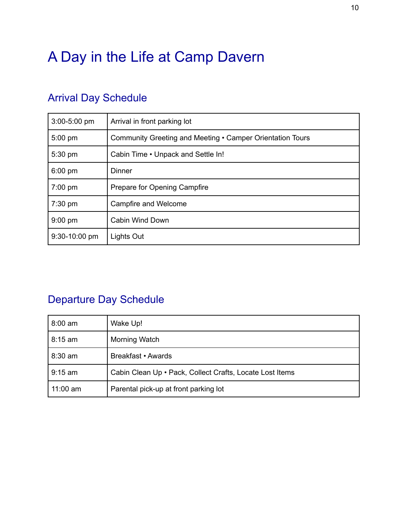## A Day in the Life at Camp Davern

| 3:00-5:00 pm  | Arrival in front parking lot                              |  |
|---------------|-----------------------------------------------------------|--|
| 5:00 pm       | Community Greeting and Meeting • Camper Orientation Tours |  |
| 5:30 pm       | Cabin Time . Unpack and Settle In!                        |  |
| $6:00$ pm     | Dinner                                                    |  |
| $7:00$ pm     | Prepare for Opening Campfire                              |  |
| $7:30$ pm     | Campfire and Welcome                                      |  |
| $9:00$ pm     | Cabin Wind Down                                           |  |
| 9:30-10:00 pm | Lights Out                                                |  |

### Arrival Day Schedule

### Departure Day Schedule

| $8:00$ am | Wake Up!                                                 |
|-----------|----------------------------------------------------------|
| 8:15 am   | Morning Watch                                            |
| $8:30$ am | Breakfast • Awards                                       |
| 9:15 am   | Cabin Clean Up . Pack, Collect Crafts, Locate Lost Items |
| 11:00 am  | Parental pick-up at front parking lot                    |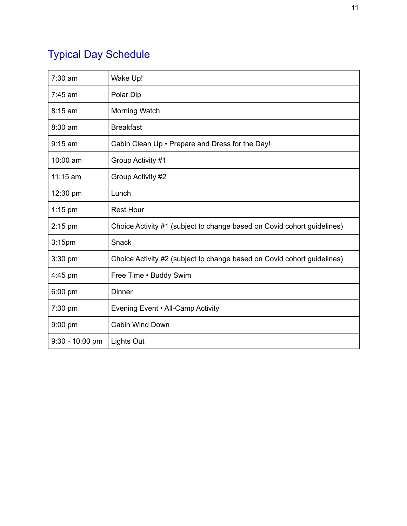## Typical Day Schedule

| $7:30$ am          | Wake Up!                                                                |  |
|--------------------|-------------------------------------------------------------------------|--|
| $7:45$ am          | Polar Dip                                                               |  |
| 8:15 am            | Morning Watch                                                           |  |
| 8:30 am            | <b>Breakfast</b>                                                        |  |
| $9:15$ am          | Cabin Clean Up . Prepare and Dress for the Day!                         |  |
| 10:00 am           | Group Activity #1                                                       |  |
| $11:15$ am         | Group Activity #2                                                       |  |
| 12:30 pm           | Lunch                                                                   |  |
| $1:15$ pm          | <b>Rest Hour</b>                                                        |  |
| $2:15$ pm          | Choice Activity #1 (subject to change based on Covid cohort guidelines) |  |
| 3:15 <sub>pm</sub> | Snack                                                                   |  |
| 3:30 pm            | Choice Activity #2 (subject to change based on Covid cohort guidelines) |  |
| 4:45 pm            | Free Time . Buddy Swim                                                  |  |
| 6:00 pm            | Dinner                                                                  |  |
| 7:30 pm            | Evening Event • All-Camp Activity                                       |  |
| $9:00$ pm          | <b>Cabin Wind Down</b>                                                  |  |
| $9:30 - 10:00$ pm  | <b>Lights Out</b>                                                       |  |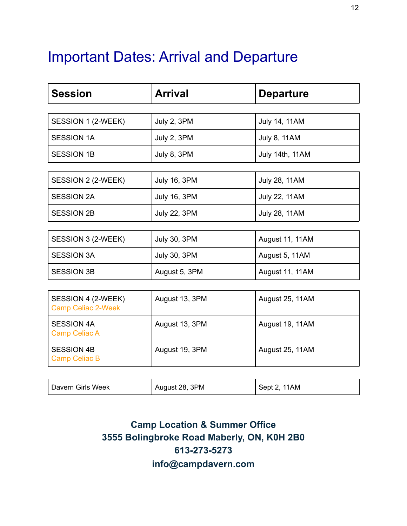## Important Dates: Arrival and Departure

| <b>Session</b>                                  | <b>Arrival</b>      | <b>Departure</b>     |
|-------------------------------------------------|---------------------|----------------------|
|                                                 |                     |                      |
| SESSION 1 (2-WEEK)                              | July 2, 3PM         | <b>July 14, 11AM</b> |
| <b>SESSION 1A</b>                               | July 2, 3PM         | <b>July 8, 11AM</b>  |
| <b>SESSION 1B</b>                               | July 8, 3PM         | July 14th, 11AM      |
|                                                 |                     |                      |
| SESSION 2 (2-WEEK)                              | <b>July 16, 3PM</b> | <b>July 28, 11AM</b> |
| <b>SESSION 2A</b>                               | <b>July 16, 3PM</b> | <b>July 22, 11AM</b> |
| <b>SESSION 2B</b>                               | <b>July 22, 3PM</b> | <b>July 28, 11AM</b> |
|                                                 |                     |                      |
| SESSION 3 (2-WEEK)                              | <b>July 30, 3PM</b> | August 11, 11AM      |
| <b>SESSION 3A</b>                               | <b>July 30, 3PM</b> | August 5, 11AM       |
| <b>SESSION 3B</b>                               | August 5, 3PM       | August 11, 11AM      |
|                                                 |                     |                      |
| SESSION 4 (2-WEEK)<br><b>Camp Celiac 2-Week</b> | August 13, 3PM      | August 25, 11AM      |
| <b>SESSION 4A</b><br><b>Camp Celiac A</b>       | August 13, 3PM      | August 19, 11AM      |
| <b>SESSION 4B</b><br><b>Camp Celiac B</b>       | August 19, 3PM      | August 25, 11AM      |

**Camp Location & Summer Office 3555 Bolingbroke Road Maberly, ON, K0H 2B0 613-273-5273 info@campdavern.com**